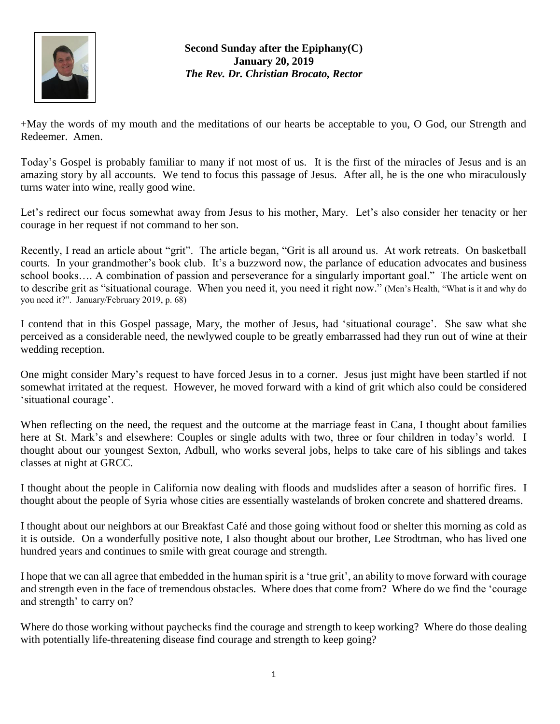

**Second Sunday after the Epiphany(C) January 20, 2019** *The Rev. Dr. Christian Brocato, Rector*

+May the words of my mouth and the meditations of our hearts be acceptable to you, O God, our Strength and Redeemer. Amen.

Today's Gospel is probably familiar to many if not most of us. It is the first of the miracles of Jesus and is an amazing story by all accounts. We tend to focus this passage of Jesus. After all, he is the one who miraculously turns water into wine, really good wine.

Let's redirect our focus somewhat away from Jesus to his mother, Mary. Let's also consider her tenacity or her courage in her request if not command to her son.

Recently, I read an article about "grit". The article began, "Grit is all around us. At work retreats. On basketball courts. In your grandmother's book club. It's a buzzword now, the parlance of education advocates and business school books…. A combination of passion and perseverance for a singularly important goal." The article went on to describe grit as "situational courage. When you need it, you need it right now." (Men's Health, "What is it and why do you need it?". January/February 2019, p. 68)

I contend that in this Gospel passage, Mary, the mother of Jesus, had 'situational courage'. She saw what she perceived as a considerable need, the newlywed couple to be greatly embarrassed had they run out of wine at their wedding reception.

One might consider Mary's request to have forced Jesus in to a corner. Jesus just might have been startled if not somewhat irritated at the request. However, he moved forward with a kind of grit which also could be considered 'situational courage'.

When reflecting on the need, the request and the outcome at the marriage feast in Cana, I thought about families here at St. Mark's and elsewhere: Couples or single adults with two, three or four children in today's world. I thought about our youngest Sexton, Adbull, who works several jobs, helps to take care of his siblings and takes classes at night at GRCC.

I thought about the people in California now dealing with floods and mudslides after a season of horrific fires. I thought about the people of Syria whose cities are essentially wastelands of broken concrete and shattered dreams.

I thought about our neighbors at our Breakfast Café and those going without food or shelter this morning as cold as it is outside. On a wonderfully positive note, I also thought about our brother, Lee Strodtman, who has lived one hundred years and continues to smile with great courage and strength.

I hope that we can all agree that embedded in the human spirit is a 'true grit', an ability to move forward with courage and strength even in the face of tremendous obstacles. Where does that come from? Where do we find the 'courage and strength' to carry on?

Where do those working without paychecks find the courage and strength to keep working? Where do those dealing with potentially life-threatening disease find courage and strength to keep going?